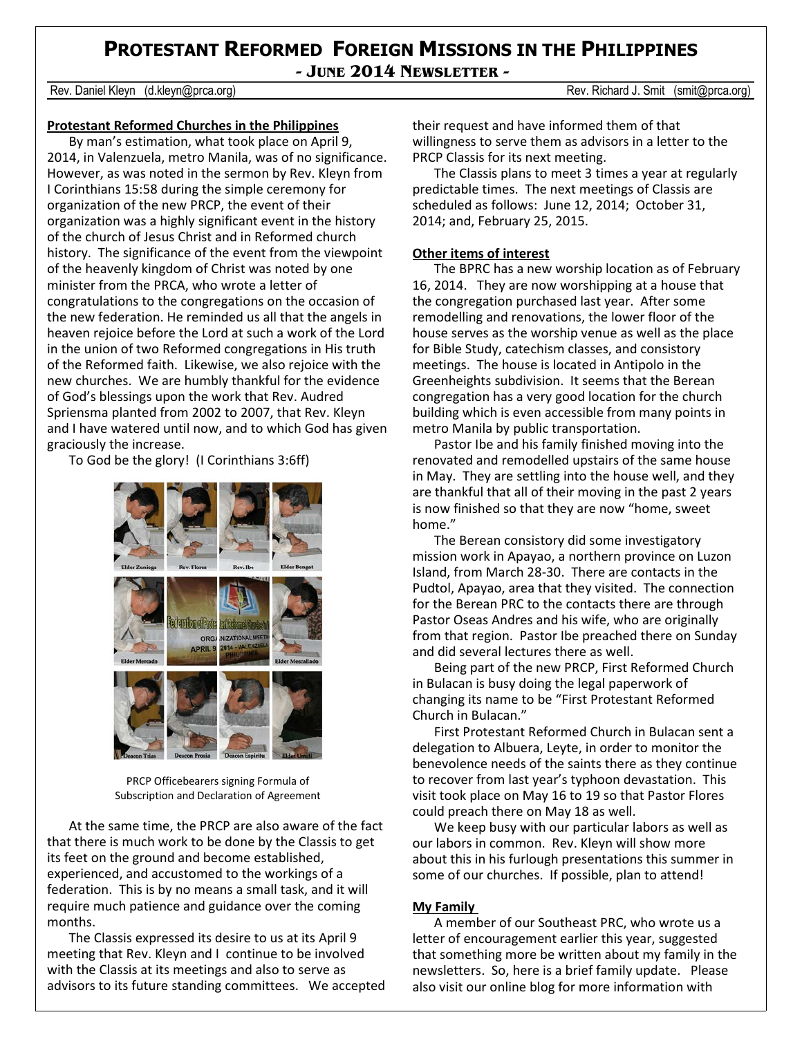## **PROTESTANT REFORMED FOREIGN MISSIONS IN THE PHILIPPINES - JUNE 2014 NEWSLETTER -**

Rev. Daniel Kleyn (d.kleyn@prca.org) **Rev. Richard J. Smit (smit@prca.org)** Rev. Richard J. Smit (smit@prca.org)

## **Protestant Reformed Churches in the Philippines**

By man's estimation, what took place on April 9, 2014, in Valenzuela, metro Manila, was of no significance. However, as was noted in the sermon by Rev. Kleyn from I Corinthians 15:58 during the simple ceremony for organization of the new PRCP, the event of their organization was a highly significant event in the history of the church of Jesus Christ and in Reformed church history. The significance of the event from the viewpoint of the heavenly kingdom of Christ was noted by one minister from the PRCA, who wrote a letter of congratulations to the congregations on the occasion of the new federation. He reminded us all that the angels in heaven rejoice before the Lord at such a work of the Lord in the union of two Reformed congregations in His truth of the Reformed faith. Likewise, we also rejoice with the new churches. We are humbly thankful for the evidence of God's blessings upon the work that Rev. Audred Spriensma planted from 2002 to 2007, that Rev. Kleyn and I have watered until now, and to which God has given graciously the increase.

To God be the glory! (I Corinthians 3:6ff)



PRCP Officebearers signing Formula of Subscription and Declaration of Agreement

At the same time, the PRCP are also aware of the fact that there is much work to be done by the Classis to get its feet on the ground and become established, experienced, and accustomed to the workings of a federation. This is by no means a small task, and it will require much patience and guidance over the coming months.

The Classis expressed its desire to us at its April 9 meeting that Rev. Kleyn and I continue to be involved with the Classis at its meetings and also to serve as advisors to its future standing committees. We accepted their request and have informed them of that willingness to serve them as advisors in a letter to the PRCP Classis for its next meeting.

The Classis plans to meet 3 times a year at regularly predictable times. The next meetings of Classis are scheduled as follows: June 12, 2014; October 31, 2014; and, February 25, 2015.

## **Other items of interest**

The BPRC has a new worship location as of February 16, 2014. They are now worshipping at a house that the congregation purchased last year. After some remodelling and renovations, the lower floor of the house serves as the worship venue as well as the place for Bible Study, catechism classes, and consistory meetings. The house is located in Antipolo in the Greenheights subdivision. It seems that the Berean congregation has a very good location for the church building which is even accessible from many points in metro Manila by public transportation.

Pastor Ibe and his family finished moving into the renovated and remodelled upstairs of the same house in May. They are settling into the house well, and they are thankful that all of their moving in the past 2 years is now finished so that they are now "home, sweet home."

The Berean consistory did some investigatory mission work in Apayao, a northern province on Luzon Island, from March 28-30. There are contacts in the Pudtol, Apayao, area that they visited. The connection for the Berean PRC to the contacts there are through Pastor Oseas Andres and his wife, who are originally from that region. Pastor Ibe preached there on Sunday and did several lectures there as well.

Being part of the new PRCP, First Reformed Church in Bulacan is busy doing the legal paperwork of changing its name to be "First Protestant Reformed Church in Bulacan."

First Protestant Reformed Church in Bulacan sent a delegation to Albuera, Leyte, in order to monitor the benevolence needs of the saints there as they continue to recover from last year's typhoon devastation. This visit took place on May 16 to 19 so that Pastor Flores could preach there on May 18 as well.

We keep busy with our particular labors as well as our labors in common. Rev. Kleyn will show more about this in his furlough presentations this summer in some of our churches. If possible, plan to attend!

## **My Family**

A member of our Southeast PRC, who wrote us a letter of encouragement earlier this year, suggested that something more be written about my family in the newsletters. So, here is a brief family update. Please also visit our online blog for more information with